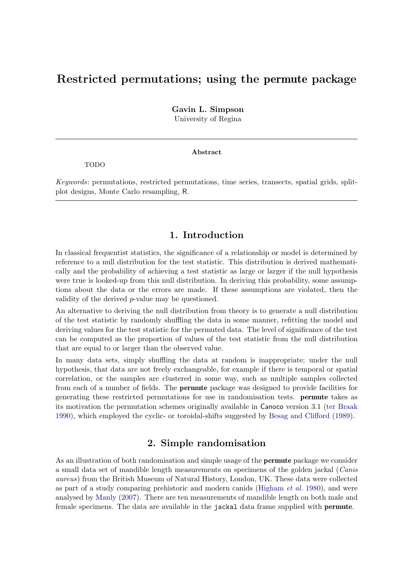# Restricted permutations; using the permute package

Gavin L. Simpson University of Regina

#### Abstract

TODO

Keywords: permutations, restricted permutations, time series, transects, spatial grids, splitplot designs, Monte Carlo resampling, R.

### 1. Introduction

In classical frequentist statistics, the significance of a relationship or model is determined by reference to a null distribution for the test statistic. This distribution is derived mathematically and the probability of achieving a test statistic as large or larger if the null hypothesis were true is looked-up from this null distribution. In deriving this probability, some assumptions about the data or the errors are made. If these assumptions are violated, then the validity of the derived p-value may be questioned.

An alternative to deriving the null distribution from theory is to generate a null distribution of the test statistic by randomly shuffling the data in some manner, refitting the model and deriving values for the test statistic for the permuted data. The level of significance of the test can be computed as the proportion of values of the test statistic from the null distribution that are equal to or larger than the observed value.

In many data sets, simply shuffling the data at random is inappropriate; under the null hypothesis, that data are not freely exchangeable, for example if there is temporal or spatial correlation, or the samples are clustered in some way, such as multiple samples collected from each of a number of fields. The permute package was designed to provide facilities for generating these restricted permutations for use in randomisation tests. permute takes as its motivation the permutation schemes originally available in Canoco version 3.1 [\(ter Braak](#page-19-0) [1990\)](#page-19-0), which employed the cyclic- or toroidal-shifts suggested by [Besag and Clifford](#page-19-1) [\(1989\)](#page-19-1).

# 2. Simple randomisation

<span id="page-0-0"></span>As an illustration of both randomisation and simple usage of the permute package we consider a small data set of mandible length measurements on specimens of the golden jackal (Canis aureus) from the British Museum of Natural History, London, UK. These data were collected as part of a study comparing prehistoric and modern canids [\(Higham](#page-19-2)  $et$  al. [1980\)](#page-19-2), and were analysed by [Manly](#page-19-3) [\(2007\)](#page-19-3). There are ten measurements of mandible length on both male and female specimens. The data are available in the jackal data frame supplied with permute.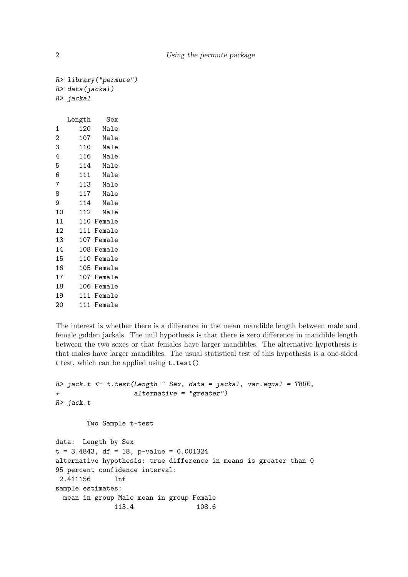|                | R> library ("permute") |            |  |  |
|----------------|------------------------|------------|--|--|
|                | R> data(jackal)        |            |  |  |
|                | R> jackal              |            |  |  |
|                |                        |            |  |  |
|                | Length                 | Sex        |  |  |
| 1              |                        | 120 Male   |  |  |
| $\overline{2}$ |                        | 107 Male   |  |  |
| 3              |                        | 110 Male   |  |  |
| 4              |                        | 116 Male   |  |  |
| 5              |                        | 114 Male   |  |  |
| 6              |                        | 111 Male   |  |  |
| 7              |                        | 113 Male   |  |  |
| 8              |                        | 117 Male   |  |  |
| 9              |                        | 114 Male   |  |  |
| 10             | 112                    | Male       |  |  |
| 11             |                        | 110 Female |  |  |
| 12             |                        | 111 Female |  |  |
| 13             |                        | 107 Female |  |  |
| 14             |                        | 108 Female |  |  |
| 15             |                        | 110 Female |  |  |
| 16             |                        | 105 Female |  |  |
| 17             |                        | 107 Female |  |  |
| 18             |                        | 106 Female |  |  |
| 19             |                        | 111 Female |  |  |
| 20             |                        | 111 Female |  |  |
|                |                        |            |  |  |

The interest is whether there is a difference in the mean mandible length between male and female golden jackals. The null hypothesis is that there is zero difference in mandible length between the two sexes or that females have larger mandibles. The alternative hypothesis is that males have larger mandibles. The usual statistical test of this hypothesis is a one-sided  $t$  test, which can be applied using  $t.test()$ 

```
R> jack.t <- t.test(Length \tilde{ } Sex, data = jackal, var.equal = TRUE,
                    alternative = "greater")R> jack.t
        Two Sample t-test
data: Length by Sex
t = 3.4843, df = 18, p-value = 0.001324
alternative hypothesis: true difference in means is greater than 0
95 percent confidence interval:
 2.411156 Inf
sample estimates:
  mean in group Male mean in group Female
```
113.4 108.6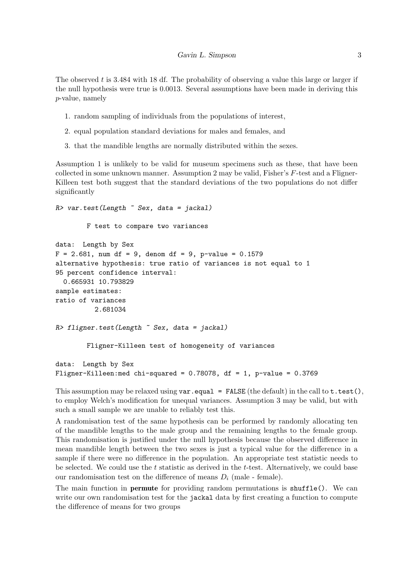The observed t is 3.484 with 18 df. The probability of observing a value this large or larger if the null hypothesis were true is 0.0013. Several assumptions have been made in deriving this p-value, namely

- 1. random sampling of individuals from the populations of interest,
- 2. equal population standard deviations for males and females, and
- 3. that the mandible lengths are normally distributed within the sexes.

Assumption 1 is unlikely to be valid for museum specimens such as these, that have been collected in some unknown manner. Assumption 2 may be valid, Fisher's F-test and a Fligner-Killeen test both suggest that the standard deviations of the two populations do not differ significantly

```
R> var.test(Length \tilde{ } Sex, data = jackal)
        F test to compare two variances
data: Length by Sex
F = 2.681, num df = 9, denom df = 9, p-value = 0.1579
alternative hypothesis: true ratio of variances is not equal to 1
95 percent confidence interval:
  0.665931 10.793829
sample estimates:
ratio of variances
          2.681034
R> fligner.test(Length \tilde{ } Sex, data = jackal)
        Fligner-Killeen test of homogeneity of variances
data: Length by Sex
Fligner-Killeen:med chi-squared = 0.78078, df = 1, p-value = 0.3769
```
This assumption may be relaxed using  $var.equals = FALSE$  (the default) in the call to  $t.test()$ , to employ Welch's modification for unequal variances. Assumption 3 may be valid, but with such a small sample we are unable to reliably test this.

A randomisation test of the same hypothesis can be performed by randomly allocating ten of the mandible lengths to the male group and the remaining lengths to the female group. This randomisation is justified under the null hypothesis because the observed difference in mean mandible length between the two sexes is just a typical value for the difference in a sample if there were no difference in the population. An appropriate test statistic needs to be selected. We could use the  $t$  statistic as derived in the  $t$ -test. Alternatively, we could base our randomisation test on the difference of means  $D_i$  (male - female).

The main function in **permute** for providing random permutations is shuffle(). We can write our own randomisation test for the jackal data by first creating a function to compute the difference of means for two groups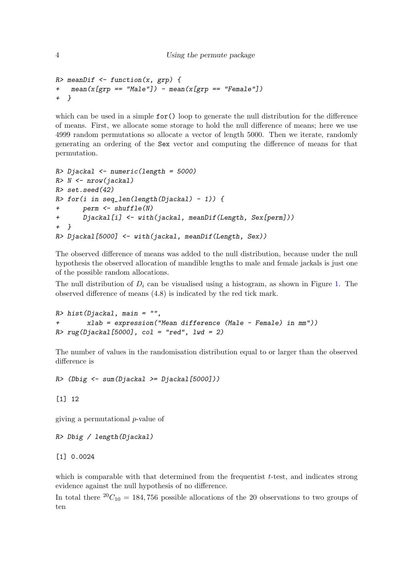```
4 Using the permute package
```

```
R> meanDif \leq function(x, grp) {
+ mean(x[grp == "Male"]) - mean(x[grp == "Female"])+ }
```
which can be used in a simple  $for()$  loop to generate the null distribution for the difference of means. First, we allocate some storage to hold the null difference of means; here we use 4999 random permutations so allocate a vector of length 5000. Then we iterate, randomly generating an ordering of the Sex vector and computing the difference of means for that permutation.

```
R> Djackal <- numeric(length = 5000)
R > N \leq -nrow(iackal)R> set.seed(42)
R> for(i in seq_len(length(Djackal) - 1)) {
+ perm <- shuffle(N)
+ Djackal[i] <- with(jackal, meanDif(Length, Sex[perm]))
+ }
R> Djackal[5000] <- with(jackal, meanDif(Length, Sex))
```
The observed difference of means was added to the null distribution, because under the null hypothesis the observed allocation of mandible lengths to male and female jackals is just one of the possible random allocations.

The null distribution of  $D_i$  can be visualised using a histogram, as shown in Figure [1.](#page-4-0) The observed difference of means (4.8) is indicated by the red tick mark.

 $R$ > hist(Djackal, main = "", xlab = expression("Mean difference (Male - Female) in mm"))  $R > rug(Djackal[5000], col = "red", lwd = 2)$ 

The number of values in the randomisation distribution equal to or larger than the observed difference is

 $R$  (Dbig  $\leftarrow$  sum(Djackal >= Djackal[5000]))

[1] 12

giving a permutational p-value of

```
R> Dbig / length(Djackal)
```
[1] 0.0024

which is comparable with that determined from the frequentist  $t$ -test, and indicates strong evidence against the null hypothesis of no difference.

In total there  ${}^{20}C_{10} = 184,756$  possible allocations of the 20 observations to two groups of ten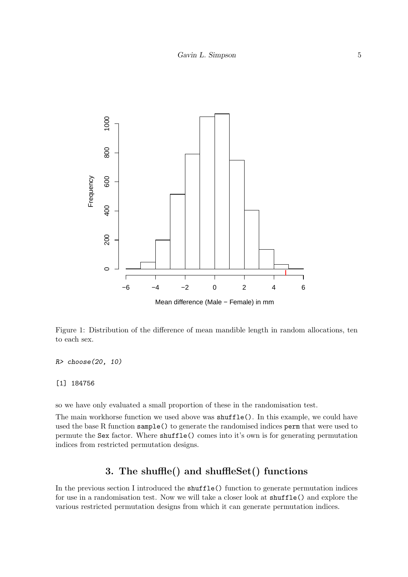

<span id="page-4-0"></span>Figure 1: Distribution of the difference of mean mandible length in random allocations, ten to each sex.

R> choose(20, 10)

#### [1] 184756

so we have only evaluated a small proportion of these in the randomisation test.

The main workhorse function we used above was shuffle(). In this example, we could have used the base R function sample() to generate the randomised indices perm that were used to permute the Sex factor. Where shuffle() comes into it's own is for generating permutation indices from restricted permutation designs.

# 3. The shuffle() and shuffleSet() functions

In the previous section I introduced the shuffle() function to generate permutation indices for use in a randomisation test. Now we will take a closer look at shuffle() and explore the various restricted permutation designs from which it can generate permutation indices.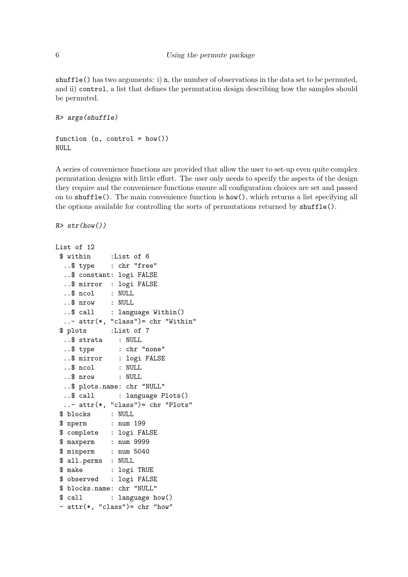shuffle() has two arguments: i) n, the number of observations in the data set to be permuted, and ii) control, a list that defines the permutation design describing how the samples should be permuted.

```
R> args(shuffle)
```

```
function (n, \text{control} = \text{how}())NULL
```
A series of convenience functions are provided that allow the user to set-up even quite complex permutation designs with little effort. The user only needs to specify the aspects of the design they require and the convenience functions ensure all configuration choices are set and passed on to shuffle(). The main convenience function is how(), which returns a list specifying all the options available for controlling the sorts of permutations returned by shuffle().

```
R> str(how())
```

```
List of 12
```

```
$ within :List of 6
 ..$ type : chr "free"
 ..$ constant: logi FALSE
 ..$ mirror : logi FALSE
 ..$ ncol : NULL
 ..$ nrow : NULL
 ..$ call : language Within()
 ..- attr(*, "class")= chr "Within"
$ plots :List of 7
 ..$ strata : NULL
 ..$ type : chr "none"
 ..$ mirror : logi FALSE
 ..$ ncol : NULL
 ..$ nrow : NULL
 ..$ plots.name: chr "NULL"
 ..$ call : language Plots()
 ..- attr(*, "class")= chr "Plots"
$ blocks : NULL
$ nperm : num 199
$ complete : logi FALSE
$ maxperm : num 9999
$ minperm : num 5040
$ all.perms : NULL
$ make : logi TRUE
$ observed : logi FALSE
$ blocks.name: chr "NULL"
$ call : language how()
- attr(*, "class") = chr "how"
```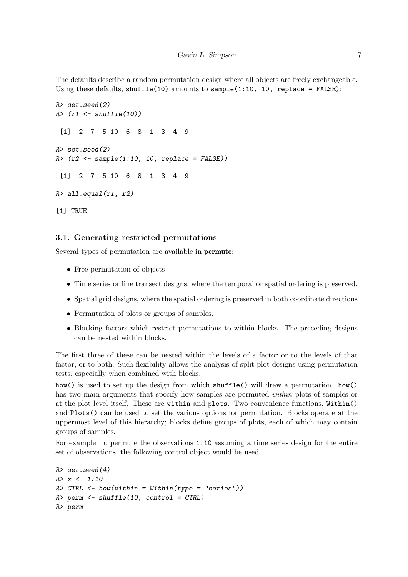The defaults describe a random permutation design where all objects are freely exchangeable. Using these defaults,  $\text{shuffle}(10)$  amounts to  $\text{sample}(1:10, 10, \text{ replace } = \text{FALSE})$ :

```
R> set.seed(2)
R> (r1 <- shuffle(10))
 [1] 2 7 5 10 6 8 1 3 4 9
R> set.seed(2)
R > (r2 \leq same) sample(1:10, 10, replace = FALSE))
 [1] 2 7 5 10 6 8 1 3 4 9
R > all.equal(r1, r2)
[1] TRUE
```
#### 3.1. Generating restricted permutations

Several types of permutation are available in permute:

- Free permutation of objects
- Time series or line transect designs, where the temporal or spatial ordering is preserved.
- Spatial grid designs, where the spatial ordering is preserved in both coordinate directions
- Permutation of plots or groups of samples.
- Blocking factors which restrict permutations to within blocks. The preceding designs can be nested within blocks.

The first three of these can be nested within the levels of a factor or to the levels of that factor, or to both. Such flexibility allows the analysis of split-plot designs using permutation tests, especially when combined with blocks.

how() is used to set up the design from which shuffle() will draw a permutation. how() has two main arguments that specify how samples are permuted *within* plots of samples or at the plot level itself. These are within and plots. Two convenience functions, Within() and Plots() can be used to set the various options for permutation. Blocks operate at the uppermost level of this hierarchy; blocks define groups of plots, each of which may contain groups of samples.

For example, to permute the observations 1:10 assuming a time series design for the entire set of observations, the following control object would be used

```
R> set.seed(4)
R > x < -1:10R> CTRL \leq how(within = Within(type = "series"))
R> perm <- shuffle(10, control = CTRL)
R> perm
```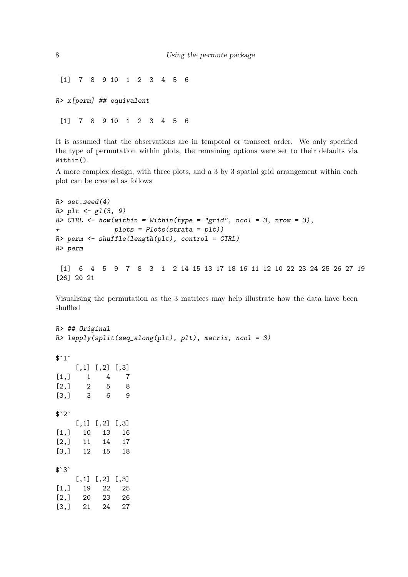[1] 7 8 9 10 1 2 3 4 5 6

R> x[perm] ## equivalent

[1] 7 8 9 10 1 2 3 4 5 6

It is assumed that the observations are in temporal or transect order. We only specified the type of permutation within plots, the remaining options were set to their defaults via Within().

A more complex design, with three plots, and a 3 by 3 spatial grid arrangement within each plot can be created as follows

```
R> set.seed(4)
R > plt \leftarrow gl(3, 9)R> CTRL <- how(within = Within(type = "grid", ncol = 3, nrow = 3),
+ plots = Plots(strata = plt))
R> perm <- shuffle(length(plt), control = CTRL)
R> perm
 [1] 6 4 5 9 7 8 3 1 2 14 15 13 17 18 16 11 12 10 22 23 24 25 26 27 19
[26] 20 21
```
Visualising the permutation as the 3 matrices may help illustrate how the data have been shuffled

R> ## Original  $R$ > lapply(split(seq\_along(plt), plt), matrix, ncol = 3)  $$^{\circ}1^{\circ}$ [,1] [,2] [,3]  $[1,] 1 4 7$ [2,] 2 5 8 [3,] 3 6 9  $$^{\circ}2^{\circ}$  $[,1]$   $[,2]$   $[,3]$ [1,] 10 13 16 [2,] 11 14 17 [3,] 12 15 18  $$^{\circ}3^{\circ}$  $[,1]$   $[,2]$   $[,3]$ [1,] 19 22 25 [2,] 20 23 26 [3,] 21 24 27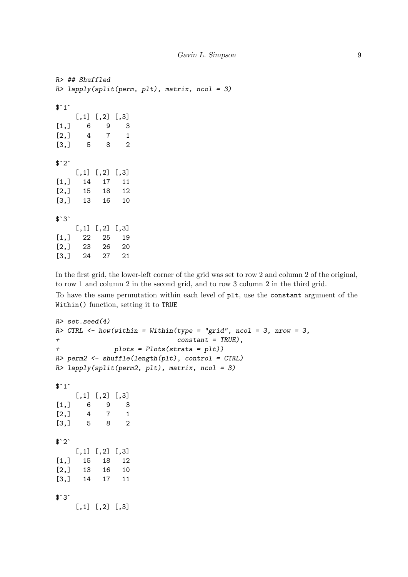```
R> ## Shuffled
R> lapply(split(perm, plt), matrix, ncol = 3)
$^{\text{-}}1^{\text{-}}[,1] [,2] [,3][1,] 6 9 3
[2,] 4 7 1[3,] 5 8 2
$^{\circ}2^{\circ}[,1] [,2] [,3]
[1,] 14 17 11
[2,] 15 18 12
[3,] 13 16 10
$`3`
    [,1] [,2] [,3][1,] 22 25 19
[2,] 23 26 20
[3,] 24 27 21
```
In the first grid, the lower-left corner of the grid was set to row 2 and column 2 of the original, to row 1 and column 2 in the second grid, and to row 3 column 2 in the third grid.

To have the same permutation within each level of plt, use the constant argument of the Within() function, setting it to TRUE

```
R> set.seed(4)
R> CTRL \leq how(within = Within(type = "grid", ncol = 3, nrow = 3,
+ constant = TRUE),
+ plots = Plots(strata = plt))
R> perm2 <- shuffle(length(plt), control = CTRL)
R> lapply(split(perm2, plt), matrix, ncol = 3)
$^{\text{-}}1^{\text{-}}[,1] [,2] [,3]
[1,] 6 9 3[2,] 4 7 1[3,] 5 8 2
$^{\circ}2^{\circ}[,1] [,2] [,3][1,] 15 18 12
[2,] 13 16 10
[3,] 14 17 11
$`3`
    [,1] [,2] [,3]
```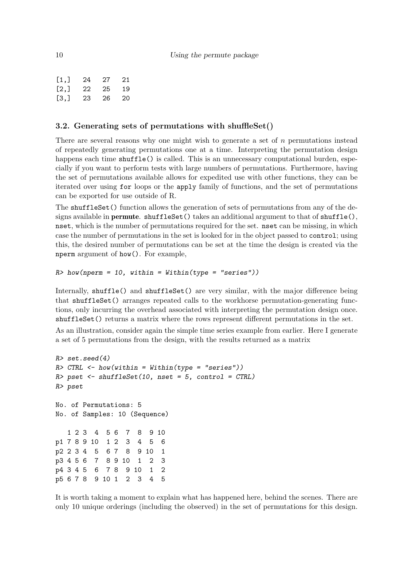| [1,] | 24 | 27 | 21 |
|------|----|----|----|
| [2,] | 22 | 25 | 19 |
| [3,] | 23 | 26 | 20 |

#### 3.2. Generating sets of permutations with shuffleSet()

There are several reasons why one might wish to generate a set of  $n$  permutations instead of repeatedly generating permutations one at a time. Interpreting the permutation design happens each time shuffle() is called. This is an unnecessary computational burden, especially if you want to perform tests with large numbers of permutations. Furthermore, having the set of permutations available allows for expedited use with other functions, they can be iterated over using for loops or the apply family of functions, and the set of permutations can be exported for use outside of R.

The shuffleSet() function allows the generation of sets of permutations from any of the designs available in **permute**. shuffleSet() takes an additional argument to that of  $\text{shuffle}()$ , nset, which is the number of permutations required for the set. nset can be missing, in which case the number of permutations in the set is looked for in the object passed to control; using this, the desired number of permutations can be set at the time the design is created via the nperm argument of how(). For example,

```
R> how(nperm = 10, within = Within(type = "series"))
```
Internally, shuffle() and shuffleSet() are very similar, with the major difference being that shuffleSet() arranges repeated calls to the workhorse permutation-generating functions, only incurring the overhead associated with interpreting the permutation design once. shuffleSet() returns a matrix where the rows represent different permutations in the set.

As an illustration, consider again the simple time series example from earlier. Here I generate a set of 5 permutations from the design, with the results returned as a matrix

```
R> set.seed(4)
R> CTRL <- how(within = Within(type = "series"))
R> pset <- shuffleSet(10, nset = 5, control = CTRL)
R> pset
No. of Permutations: 5
No. of Samples: 10 (Sequence)
  1 2 3 4 5 6 7 8 9 10
p1 7 8 9 10 1 2 3 4 5 6
p2 2 3 4 5 6 7 8 9 10 1
p3 4 5 6 7 8 9 10 1 2 3
p4 3 4 5 6 7 8 9 10 1 2
p5 6 7 8 9 10 1 2 3 4 5
```
It is worth taking a moment to explain what has happened here, behind the scenes. There are only 10 unique orderings (including the observed) in the set of permutations for this design.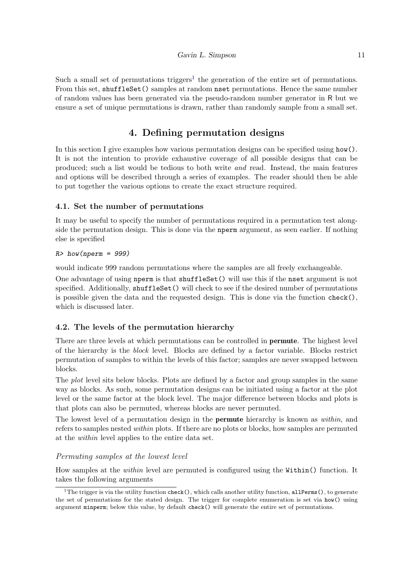Such a small set of permutations triggers<sup>[1](#page-10-0)</sup> the generation of the entire set of permutations. From this set, shuffleSet() samples at random nset permutations. Hence the same number of random values has been generated via the pseudo-random number generator in R but we ensure a set of unique permutations is drawn, rather than randomly sample from a small set.

# 4. Defining permutation designs

In this section I give examples how various permutation designs can be specified using how(). It is not the intention to provide exhaustive coverage of all possible designs that can be produced; such a list would be tedious to both write and read. Instead, the main features and options will be described through a series of examples. The reader should then be able to put together the various options to create the exact structure required.

## 4.1. Set the number of permutations

It may be useful to specify the number of permutations required in a permutation test alongside the permutation design. This is done via the nperm argument, as seen earlier. If nothing else is specified

### $R>$  how(nperm = 999)

would indicate 999 random permutations where the samples are all freely exchangeable.

One advantage of using nperm is that shuffleSet() will use this if the nset argument is not specified. Additionally, shuffleSet() will check to see if the desired number of permutations is possible given the data and the requested design. This is done via the function check(), which is discussed later.

# 4.2. The levels of the permutation hierarchy

There are three levels at which permutations can be controlled in permute. The highest level of the hierarchy is the block level. Blocks are defined by a factor variable. Blocks restrict permutation of samples to within the levels of this factor; samples are never swapped between blocks.

The *plot* level sits below blocks. Plots are defined by a factor and group samples in the same way as blocks. As such, some permutation designs can be initiated using a factor at the plot level or the same factor at the block level. The major difference between blocks and plots is that plots can also be permuted, whereas blocks are never permuted.

The lowest level of a permutation design in the **permute** hierarchy is known as *within*, and refers to samples nested within plots. If there are no plots or blocks, how samples are permuted at the within level applies to the entire data set.

### Permuting samples at the lowest level

How samples at the within level are permuted is configured using the Within() function. It takes the following arguments

<span id="page-10-0"></span><sup>&</sup>lt;sup>1</sup>The trigger is via the utility function check(), which calls another utility function, allPerms(), to generate the set of permutations for the stated design. The trigger for complete enumeration is set via how() using argument minperm; below this value, by default check() will generate the entire set of permutations.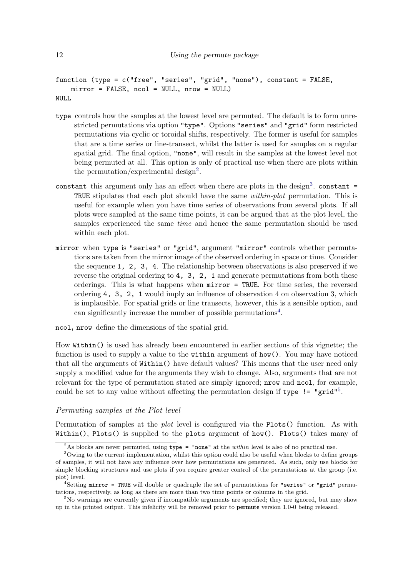```
function (type = c("free", "series", "grid", "none"), constant = FALSE,
    mirror = FALSE, ncol = NULL, nrow = NULL)
NULL
```
- type controls how the samples at the lowest level are permuted. The default is to form unrestricted permutations via option "type". Options "series" and "grid" form restricted permutations via cyclic or toroidal shifts, respectively. The former is useful for samples that are a time series or line-transect, whilst the latter is used for samples on a regular spatial grid. The final option, "none", will result in the samples at the lowest level not being permuted at all. This option is only of practical use when there are plots within the permutation/experimental design<sup>[2](#page-11-0)</sup>.
- constant this argument only has an effect when there are plots in the design<sup>[3](#page-11-1)</sup>. constant = TRUE stipulates that each plot should have the same within-plot permutation. This is useful for example when you have time series of observations from several plots. If all plots were sampled at the same time points, it can be argued that at the plot level, the samples experienced the same *time* and hence the same permutation should be used within each plot.
- mirror when type is "series" or "grid", argument "mirror" controls whether permutations are taken from the mirror image of the observed ordering in space or time. Consider the sequence 1, 2, 3, 4. The relationship between observations is also preserved if we reverse the original ordering to 4, 3, 2, 1 and generate permutations from both these orderings. This is what happens when mirror = TRUE. For time series, the reversed ordering 4, 3, 2, 1 would imply an influence of observation 4 on observation 3, which is implausible. For spatial grids or line transects, however, this is a sensible option, and can significantly increase the number of possible permutations<sup>[4](#page-11-2)</sup>.

```
ncol, nrow define the dimensions of the spatial grid.
```
How Within() is used has already been encountered in earlier sections of this vignette; the function is used to supply a value to the within argument of how(). You may have noticed that all the arguments of Within() have default values? This means that the user need only supply a modified value for the arguments they wish to change. Also, arguments that are not relevant for the type of permutation stated are simply ignored; nrow and ncol, for example, could be set to any value without affecting the permutation design if type  $!=$  "grid"<sup>[5](#page-11-3)</sup>.

### Permuting samples at the Plot level

Permutation of samples at the *plot* level is configured via the Plots() function. As with Within(), Plots() is supplied to the plots argument of how(). Plots() takes many of

<span id="page-11-1"></span><span id="page-11-0"></span><sup>&</sup>lt;sup>2</sup>As blocks are never permuted, using  $type =$  "none" at the *within* level is also of no practical use.

<sup>&</sup>lt;sup>3</sup>Owing to the current implementation, whilst this option could also be useful when blocks to define groups of samples, it will not have any influence over how permutations are generated. As such, only use blocks for simple blocking structures and use plots if you require greater control of the permutations at the group (i.e. plot) level.

<span id="page-11-2"></span> $4$ Setting mirror = TRUE will double or quadruple the set of permutations for "series" or "grid" permutations, respectively, as long as there are more than two time points or columns in the grid.

<span id="page-11-3"></span><sup>&</sup>lt;sup>5</sup>No warnings are currently given if incompatible arguments are specified; they are ignored, but may show up in the printed output. This infelicity will be removed prior to permute version 1.0-0 being released.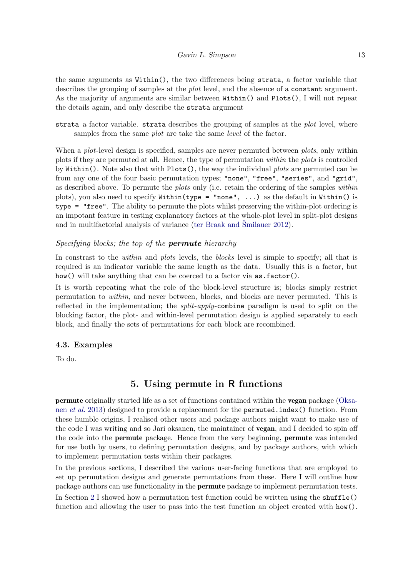the same arguments as Within(), the two differences being strata, a factor variable that describes the grouping of samples at the plot level, and the absence of a constant argument. As the majority of arguments are similar between Within() and Plots(), I will not repeat the details again, and only describe the strata argument

strata a factor variable. strata describes the grouping of samples at the *plot* level, where samples from the same *plot* are take the same *level* of the factor.

When a *plot*-level design is specified, samples are never permuted between *plots*, only within plots if they are permuted at all. Hence, the type of permutation within the plots is controlled by Within(). Note also that with Plots(), the way the individual *plots* are permuted can be from any one of the four basic permutation types; "none", "free", "series", and "grid", as described above. To permute the *plots* only (i.e. retain the ordering of the samples *within* plots), you also need to specify Within(type = "none", ...) as the default in Within() is type = "free". The ability to permute the plots whilst preserving the within-plot ordering is an impotant feature in testing explanatory factors at the whole-plot level in split-plot designs and in multifactorial analysis of variance [\(ter Braak and](#page-19-4) Smilauer [2012\)](#page-19-4).

#### Specifying blocks; the top of the **permute** hierarchy

In constrast to the *within* and *plots* levels, the *blocks* level is simple to specify; all that is required is an indicator variable the same length as the data. Usually this is a factor, but how() will take anything that can be coerced to a factor via  $\texttt{as.factor}()$ .

It is worth repeating what the role of the block-level structure is; blocks simply restrict permutation to within, and never between, blocks, and blocks are never permuted. This is reflected in the implementation; the  $split$ -apply-combine paradigm is used to split on the blocking factor, the plot- and within-level permutation design is applied separately to each block, and finally the sets of permutations for each block are recombined.

#### 4.3. Examples

To do.

### 5. Using permute in R functions

permute originally started life as a set of functions contained within the vegan package [\(Oksa](#page-19-5)nen [et al.](#page-19-5) [2013\)](#page-19-5) designed to provide a replacement for the permuted.index() function. From these humble origins, I realised other users and package authors might want to make use of the code I was writing and so Jari oksanen, the maintainer of vegan, and I decided to spin off the code into the permute package. Hence from the very beginning, permute was intended for use both by users, to defining permutation designs, and by package authors, with which to implement permutation tests within their packages.

In the previous sections, I described the various user-facing functions that are employed to set up permutation designs and generate permutations from these. Here I will outline how package authors can use functionality in the permute package to implement permutation tests.

In Section [2](#page-0-0) I showed how a permutation test function could be written using the shuffle() function and allowing the user to pass into the test function an object created with how().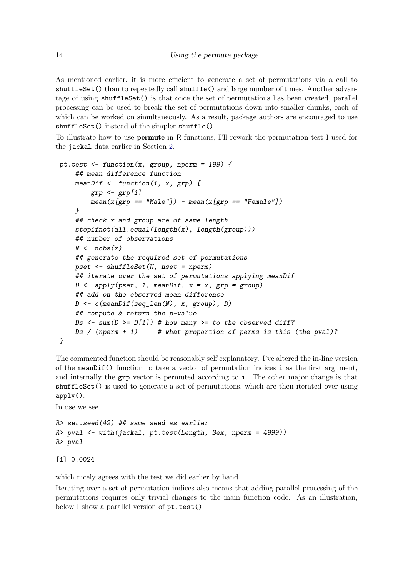As mentioned earlier, it is more efficient to generate a set of permutations via a call to shuffleSet() than to repeatedly call shuffle() and large number of times. Another advantage of using shuffleSet() is that once the set of permutations has been created, parallel processing can be used to break the set of permutations down into smaller chunks, each of which can be worked on simultaneously. As a result, package authors are encouraged to use shuffleSet() instead of the simpler shuffle().

To illustrate how to use permute in R functions, I'll rework the permutation test I used for the jackal data earlier in Section [2.](#page-0-0)

```
pt.test \le function(x, group, nperm = 199) {
    ## mean difference function
    meanDif \leq function(i, x, grp) {
        grp \leftarrow grp[i]mean(x[grp == "Male"]) - mean(x[grp == "Female"])}
    ## check x and group are of same length
    stopifnot(all.equals(length(x), length(group)))## number of observations
    N \leftarrow nobs(x)## generate the required set of permutations
    pset \leq shuffleSet(N, nset = nperm)
    ## iterate over the set of permutations applying meanDif
    D \leftarrow apply(pset, 1, meanDiff, x = x, grp = group)## add on the observed mean difference
    D \leftarrow c(meanDif(seq_len(N), x, group), D)
    ## compute & return the p-value
    Ds \leftarrow sum(D \geq D[1]) # how many \geq to the observed diff?
    Ds / (nperm + 1) \# what proportion of perms is this (the pval)?
}
```
The commented function should be reasonably self explanatory. I've altered the in-line version of the meanDif() function to take a vector of permutation indices i as the first argument, and internally the grp vector is permuted according to i. The other major change is that shuffleSet() is used to generate a set of permutations, which are then iterated over using apply().

In use we see

```
R> set.seed(42) ## same seed as earlier
R> pval <- with(jackal, pt.test(Length, Sex, nperm = 4999))
R> pval
```
[1] 0.0024

which nicely agrees with the test we did earlier by hand.

Iterating over a set of permutation indices also means that adding parallel processing of the permutations requires only trivial changes to the main function code. As an illustration, below I show a parallel version of pt.test()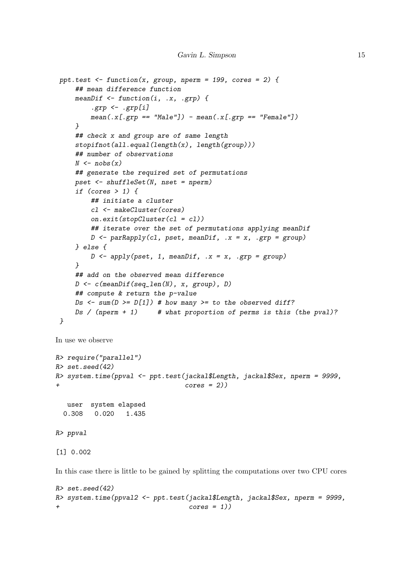```
ppt.test \le function(x, group, nperm = 199, cores = 2) {
    ## mean difference function
    meanDif \leq function(i, .x, .grp) {
         .\text{grp} \leftarrow .\text{grp}[i]mean(.x[,grp == "Male"] - mean(.x[,grp == "Female"])}
    ## check x and group are of same length
    stopifnot(all.equal(length(x), length(group)))
    ## number of observations
    N \leftarrow nobs(x)## generate the required set of permutations
    pset <- shuffleSet(N, nset = nperm)
    if (cores > 1) {
         ## initiate a cluster
        cl <- makeCluster(cores)
        on.exit(stopCluster(cl = cl))
        ## iterate over the set of permutations applying meanDif
        D \leq -\text{parRapply}(c1, \text{pset}, \text{meanDiff}, .x = x, .grp = group)} else {
        D \leftarrow apply(pset, 1, meanDiff, .x = x, .grp = group)}
    ## add on the observed mean difference
    D \leftarrow c(meanDif(seq_len(N), x, group), D)
    ## compute & return the p-value
    Ds \leftarrow sum(D \leftarrow D[1]) # how many \leftarrow to the observed diff?
    Ds / (nperm + 1) \# what proportion of perms is this (the pval)?
}
```

```
In use we observe
```

```
R> require("parallel")
R> set.seed(42)
R> system.time(ppval <- ppt.test(jackal$Length, jackal$Sex, nperm = 9999,
+ cores = 2))
```

```
user system elapsed
0.308 0.020 1.435
```

```
R> ppval
```
[1] 0.002

In this case there is little to be gained by splitting the computations over two CPU cores

```
R> set.seed(42)
R> system.time(ppval2 <- ppt.test(jackal$Length, jackal$Sex, nperm = 9999,
+ cores = 1))
```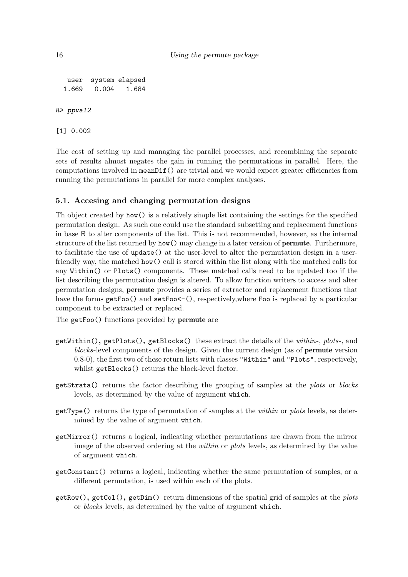```
user system elapsed
  1.669 0.004 1.684
R> ppval2
```
[1] 0.002

The cost of setting up and managing the parallel processes, and recombining the separate sets of results almost negates the gain in running the permutations in parallel. Here, the computations involved in meanDif() are trivial and we would expect greater efficiencies from running the permutations in parallel for more complex analyses.

### 5.1. Accesing and changing permutation designs

Th object created by how() is a relatively simple list containing the settings for the specified permutation design. As such one could use the standard subsetting and replacement functions in base R to alter components of the list. This is not recommended, however, as the internal structure of the list returned by how() may change in a later version of **permute**. Furthermore, to facilitate the use of update() at the user-level to alter the permutation design in a userfriendly way, the matched how() call is stored within the list along with the matched calls for any Within() or Plots() components. These matched calls need to be updated too if the list describing the permutation design is altered. To allow function writers to access and alter permutation designs, permute provides a series of extractor and replacement functions that have the forms getFoo() and setFoo <- (), respectively, where Foo is replaced by a particular component to be extracted or replaced.

The getFoo() functions provided by permute are

- getWithin(), getPlots(), getBlocks() these extract the details of the within-, plots-, and blocks-level components of the design. Given the current design (as of permute version 0.8-0), the first two of these return lists with classes "Within" and "Plots", respectively, whilst getBlocks() returns the block-level factor.
- getStrata() returns the factor describing the grouping of samples at the plots or blocks levels, as determined by the value of argument which.
- getType() returns the type of permutation of samples at the within or plots levels, as determined by the value of argument which.
- getMirror() returns a logical, indicating whether permutations are drawn from the mirror image of the observed ordering at the within or plots levels, as determined by the value of argument which.
- getConstant() returns a logical, indicating whether the same permutation of samples, or a different permutation, is used within each of the plots.
- $getRow($ ,  $getCol($ ,  $getDim($ ) return dimensions of the spatial grid of samples at the *plots* or blocks levels, as determined by the value of argument which.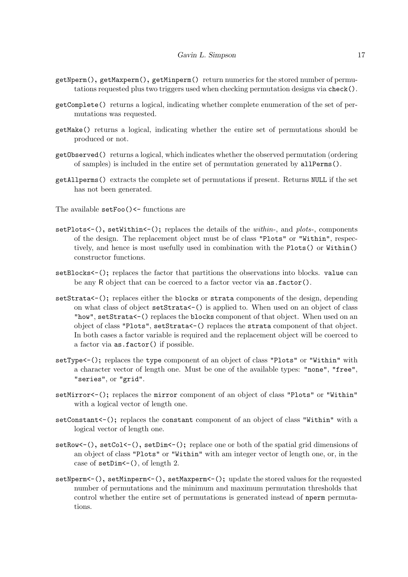- getNperm(), getMaxperm(), getMinperm() return numerics for the stored number of permutations requested plus two triggers used when checking permutation designs via check().
- getComplete() returns a logical, indicating whether complete enumeration of the set of permutations was requested.
- getMake() returns a logical, indicating whether the entire set of permutations should be produced or not.
- getObserved() returns a logical, which indicates whether the observed permutation (ordering of samples) is included in the entire set of permutation generated by allPerms().
- getAllperms() extracts the complete set of permutations if present. Returns NULL if the set has not been generated.
- The available setFoo()<- functions are
- $setPlots < ($ ,  $setWithin < ()$ ; replaces the details of the *within*-, and *plots*-, components of the design. The replacement object must be of class "Plots" or "Within", respectively, and hence is most usefully used in combination with the Plots() or Within() constructor functions.
- setBlocks $\leq$  (); replaces the factor that partitions the observations into blocks. value can be any R object that can be coerced to a factor vector via  $\texttt{as.factor}()$ .
- setStrata $\left\langle -\right\rangle$ ; replaces either the blocks or strata components of the design, depending on what class of object setStrata<-() is applied to. When used on an object of class "how", setStrata<-() replaces the blocks component of that object. When used on an object of class "Plots", setStrata<-() replaces the strata component of that object. In both cases a factor variable is required and the replacement object will be coerced to a factor via as.factor() if possible.
- setType <- (); replaces the type component of an object of class "Plots" or "Within" with a character vector of length one. Must be one of the available types: "none", "free", "series", or "grid".
- setMirror<-(); replaces the mirror component of an object of class "Plots" or "Within" with a logical vector of length one.
- setConstant<-(); replaces the constant component of an object of class "Within" with a logical vector of length one.
- setRow <- (), setCol < (), setDim <- (); replace one or both of the spatial grid dimensions of an object of class "Plots" or "Within" with am integer vector of length one, or, in the case of setDim < - (), of length 2.
- setNperm <- (), setMinperm <- (), setMaxperm <- (); update the stored values for the requested number of permutations and the minimum and maximum permutation thresholds that control whether the entire set of permutations is generated instead of nperm permutations.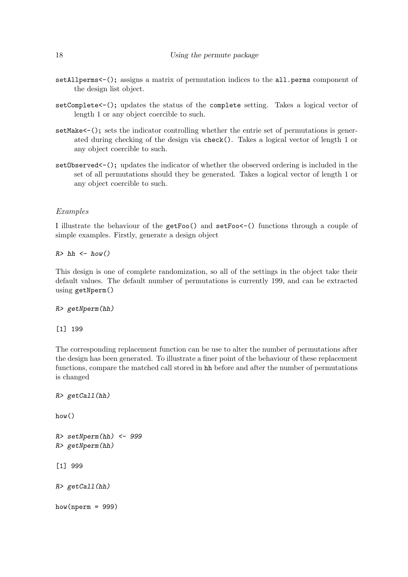- setAllperms<-(); assigns a matrix of permutation indices to the all.perms component of the design list object.
- setComplete<-(); updates the status of the complete setting. Takes a logical vector of length 1 or any object coercible to such.
- setMake <- (); sets the indicator controlling whether the entrie set of permutations is generated during checking of the design via check(). Takes a logical vector of length 1 or any object coercible to such.
- setObserved <-(); updates the indicator of whether the observed ordering is included in the set of all permutations should they be generated. Takes a logical vector of length 1 or any object coercible to such.

#### Examples

I illustrate the behaviour of the getFoo() and setFoo<-() functions through a couple of simple examples. Firstly, generate a design object

 $R> hh < - how()$ 

This design is one of complete randomization, so all of the settings in the object take their default values. The default number of permutations is currently 199, and can be extracted using getNperm()

R> getNperm(hh)

[1] 199

The corresponding replacement function can be use to alter the number of permutations after the design has been generated. To illustrate a finer point of the behaviour of these replacement functions, compare the matched call stored in hh before and after the number of permutations is changed

```
R> getCall(hh)
how()
R> setNperm(hh) <- 999
R> getNperm(hh)
[1] 999
R> getCall(hh)
how(nperm = 999)
```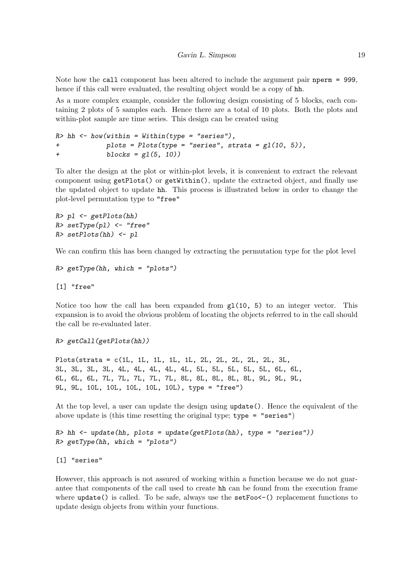Note how the call component has been altered to include the argument pair net perm = 999, hence if this call were evaluated, the resulting object would be a copy of hh.

As a more complex example, consider the following design consisting of 5 blocks, each containing 2 plots of 5 samples each. Hence there are a total of 10 plots. Both the plots and within-plot sample are time series. This design can be created using

```
R> hh <- how(within = Within(type = "series"),
+ plots = Plots(type = "series", strata = gl(10, 5)),
+ blocks = gl(5, 10))
```
To alter the design at the plot or within-plot levels, it is convenient to extract the relevant component using getPlots() or getWithin(), update the extracted object, and finally use the updated object to update hh. This process is illustrated below in order to change the plot-level permutation type to "free"

```
R> pl <- getPlots(hh)
R> setType(pl) <- "free"
R> setPlots(hh) <- pl
```
We can confirm this has been changed by extracting the permutation type for the plot level

```
R> getType(hh, which = "plots")
```
[1] "free"

Notice too how the call has been expanded from  $g1(10, 5)$  to an integer vector. This expansion is to avoid the obvious problem of locating the objects referred to in the call should the call be re-evaluated later.

R> getCall(getPlots(hh))

Plots(strata = c(1L, 1L, 1L, 1L, 1L, 2L, 2L, 2L, 2L, 2L, 3L, 3L, 3L, 3L, 3L, 4L, 4L, 4L, 4L, 4L, 5L, 5L, 5L, 5L, 5L, 6L, 6L, 6L, 6L, 6L, 7L, 7L, 7L, 7L, 7L, 8L, 8L, 8L, 8L, 8L, 9L, 9L, 9L, 9L, 9L, 10L, 10L, 10L, 10L, 10L), type = "free")

At the top level, a user can update the design using update(). Hence the equivalent of the above update is (this time resetting the original type; type = "series")

```
R> hh <- update(hh, plots = update(getPlots(hh), type = "series"))
R> getType(hh, which = "plots")
```
[1] "series"

However, this approach is not assured of working within a function because we do not guarantee that components of the call used to create hh can be found from the execution frame where update() is called. To be safe, always use the setFoo $\leq$ -() replacement functions to update design objects from within your functions.